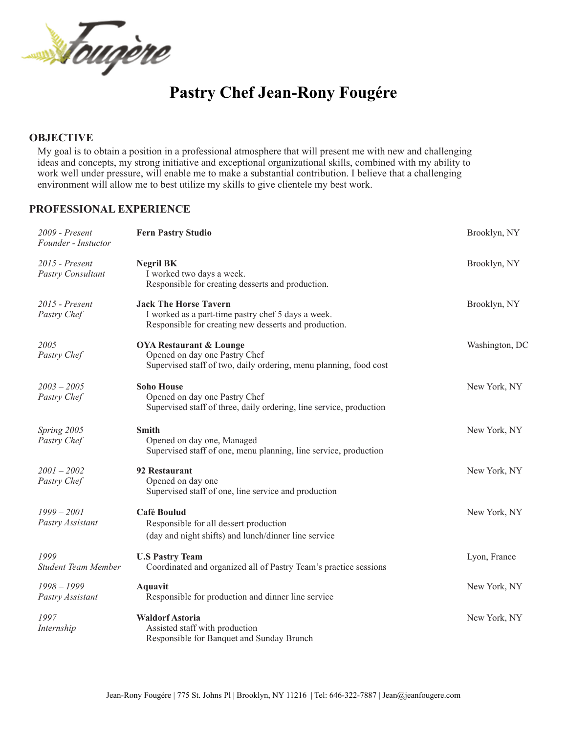

# **Pastry Chef Jean-Rony Fougére**

#### **OBJECTIVE**

My goal is to obtain a position in a professional atmosphere that will present me with new and challenging ideas and concepts, my strong initiative and exceptional organizational skills, combined with my ability to work well under pressure, will enable me to make a substantial contribution. I believe that a challenging environment will allow me to best utilize my skills to give clientele my best work.

#### **PROFESSIONAL EXPERIENCE**

| $2009$ - Present<br>Founder - Instuctor | <b>Fern Pastry Studio</b>                                                                                                                   | Brooklyn, NY   |
|-----------------------------------------|---------------------------------------------------------------------------------------------------------------------------------------------|----------------|
| 2015 - Present<br>Pastry Consultant     | <b>Negril BK</b><br>I worked two days a week.<br>Responsible for creating desserts and production.                                          | Brooklyn, NY   |
| $2015$ - Present<br>Pastry Chef         | <b>Jack The Horse Tavern</b><br>I worked as a part-time pastry chef 5 days a week.<br>Responsible for creating new desserts and production. | Brooklyn, NY   |
| 2005<br>Pastry Chef                     | <b>OYA Restaurant &amp; Lounge</b><br>Opened on day one Pastry Chef<br>Supervised staff of two, daily ordering, menu planning, food cost    | Washington, DC |
| $2003 - 2005$<br>Pastry Chef            | <b>Soho House</b><br>Opened on day one Pastry Chef<br>Supervised staff of three, daily ordering, line service, production                   | New York, NY   |
| Spring 2005<br>Pastry Chef              | <b>Smith</b><br>Opened on day one, Managed<br>Supervised staff of one, menu planning, line service, production                              | New York, NY   |
| $2001 - 2002$<br>Pastry Chef            | 92 Restaurant<br>Opened on day one<br>Supervised staff of one, line service and production                                                  | New York, NY   |
| $1999 - 2001$<br>Pastry Assistant       | Café Boulud<br>Responsible for all dessert production<br>(day and night shifts) and lunch/dinner line service                               | New York, NY   |
| 1999<br><b>Student Team Member</b>      | <b>U.S Pastry Team</b><br>Coordinated and organized all of Pastry Team's practice sessions                                                  | Lyon, France   |
| $1998 - 1999$<br>Pastry Assistant       | <b>Aquavit</b><br>Responsible for production and dinner line service                                                                        | New York, NY   |
| 1997<br>Internship                      | <b>Waldorf Astoria</b><br>Assisted staff with production<br>Responsible for Banquet and Sunday Brunch                                       | New York, NY   |